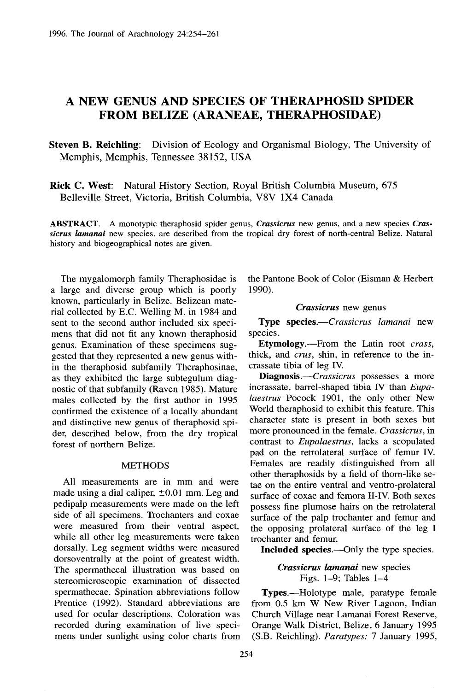# A NEW GENUS AND **SPECIES** OF **THERAPHOSID SPIDER FROM BELIZE (ARANEAE, THERAPHOSIDAE )**

**Steven B. Reichling:** Division of Ecology and Organismal Biology, The University of Memphis, Memphis, Tennessee 38152, USA

**Rick C. West:** Natural History Section, Royal British Columbia Museum, 675 Belleville Street, Victoria, British Columbia, V8V 1X4 Canada

**ABSTRACT.** A monotypic theraphosid spider genus, *Crassicrus* new genus, and a new species *Crassicrus lamanai* new species, are described from the tropical dry forest of north-central Belize . Natural history and biogeographical notes are given.

The mygalomorph family Theraphosidae is a large and diverse group which is poorly known, particularly in Belize. Belizean material collected by E.C . Welling M. in 1984 and sent to the second author included six specimens that did not fit any known theraphosid genus. Examination of these specimens suggested that they represented a new genus with in the theraphosid subfamily Theraphosinae, as they exhibited the large subtegulum diagnostic of that subfamily (Raven 1985) . Mature males collected by the first author in 1995 confirmed the existence of a locally abundant and distinctive new genus of theraphosid spider, described below, from the dry tropical forest of northern Belize.

## **METHODS**

All measurements are in mm and were made using a dial caliper,  $\pm 0.01$  mm. Leg and pedipalp measurements were made on the left side of all specimens. Trochanters and coxae were measured from their ventral aspect, while all other leg measurements were taken dorsally. Leg segment widths were measured dorsoventrally at the point of greatest width. The spermathecal illustration was based on stereomicroscopic examination of dissected spermathecae. Spination abbreviations follow Prentice (1992). Standard abbreviations are used for ocular descriptions. Coloration was recorded during examination of live specimens under sunlight using color charts from

the Pantone Book of Color (Eisman & Herbert 1990).

#### *Crassicrus* new genus

**Type** species .—Crassicrus *lamanai* new species.

Etymology .—From the Latin root *crass ,* thick, and *crus,* shin, in reference to the incrassate tibia of leg IV.

Diagnosis.—Crassicrus possesses a more incrassate, barrel-shaped tibia IV than *Eupalaestrus* Pocock 1901, the only other New World theraphosid to exhibit this feature. This character state is present in both sexes but more pronounced in the female . *Crassicrus, in* contrast to *Eupalaestrus*, lacks a scopulated pad on the retrolateral surface of femur IV. Females are readily distinguished from all other theraphosids by a field of thorn-like setae on the entire ventral and ventro-prolateral surface of coxae and femora II-IV. Both sexes possess fine plumose hairs on the retrolateral surface of the palp trochanter and femur and the opposing prolateral surface of the leg I trochanter and femur.

**Included species .—Only** the type species .

*Crassicrus lamanai* new species Figs. 1–9; Tables 1–4

Types.—Holotype male, paratype female from 0.5 km W New River Lagoon, Indian Church Village near Lamanai Forest Reserve, Orange Walk District, Belize, 6 January 1995 (S.B . Reichling) . *Paratypes:* 7 January 1995 ,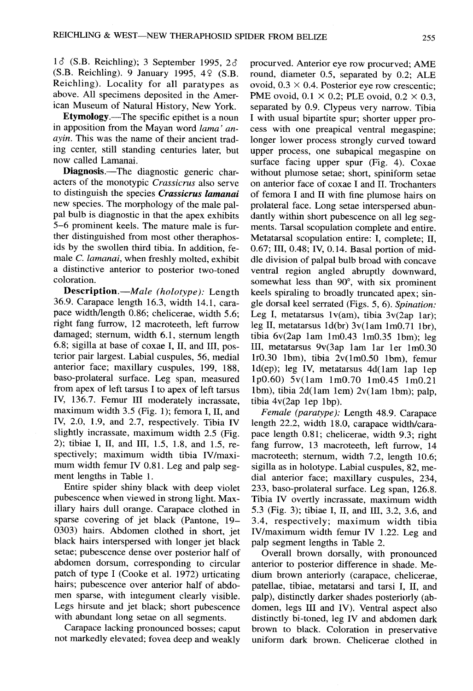$1\delta$  (S.B. Reichling); 3 September 1995, 2 $\delta$ (S.B. Reichling). 9 January 1995, 49 (S.B. Reichling). Locality for all paratypes as above. All specimens deposited in the American Museum of Natural History, New York.

**Etymology .—The** specific epithet is a noun in apposition from the Mayan word *lama' anayin.* This was the name of their ancient trading center, still standing centuries later, but now called Lamanai.

**Diagnosis.**—The diagnostic generic characters of the monotypic *Crassicrus* also serve to distinguish the species *Crassicrus lamanai* new species. The morphology of the male palpal bulb is diagnostic in that the apex exhibits 5–6 prominent keels . The mature male is further distinguished from most other theraphosids by the swollen third tibia. In addition, female C. *lamanai,* when freshly molted, exhibit a distinctive anterior to posterior two-toned coloration.

**Description.—Male** *(holotype) :* Length 36.9. Carapace length 16.3, width 14.1, carapace width/length 0.86; chelicerae, width 5.6; right fang furrow, 12 macroteeth, left furrow damaged; sternum, width 6.1, sternum length 6.8; sigilla at base of coxae I, II, and III, posterior pair largest. Labial cuspules, 56, medial anterior face; maxillary cuspules, 199, 188, baso-prolateral surface . Leg span, measured from apex of left tarsus I to apex of left tarsus IV, 136.7. Femur III moderately incrassate, maximum width  $3.5$  (Fig. 1); femora I, II, and IV, 2.0, 1.9, and 2.7, respectively. Tibia IV slightly incrassate, maximum width 2.5 (Fig. 2); tibiae I, II, and III, 1.5, 1.8, and 1.5, respectively; maximum width tibia IV/maximum width femur IV 0.81. Leg and palp segment lengths in Table 1.

Entire spider shiny black with deep violet pubescence when viewed in strong light. Maxillary hairs dull orange. Carapace clothed in sparse covering of jet black (Pantone, 19– 0303) hairs. Abdomen clothed in short, jet black hairs interspersed with longer jet black setae; pubescence dense over posterior half of abdomen dorsum, corresponding to circular patch of type I (Cooke et al. 1972) urticating hairs; pubescence over anterior half of abdomen sparse, with integument clearly visible. Legs hirsute and jet black; short pubescence with abundant long setae on all segments.

Carapace lacking pronounced bosses; caput not markedly elevated; fovea deep and weakly procurved. Anterior eye row procurved: AME round, diameter  $0.5$ , separated by  $0.2$ ; ALE ovoid,  $0.3 \times 0.4$ . Posterior eye row crescentic; PME ovoid,  $0.1 \times 0.2$ ; PLE ovoid,  $0.2 \times 0.3$ , separated by 0.9. Clypeus very narrow. Tibia I with usual bipartite spur; shorter upper process with one preapical ventral megaspine; longer lower process strongly curved toward upper process, one subapical megaspine on surface facing upper spur  $(Fig. 4)$ . Coxae without plumose setae; short, spiniform setae on anterior face of coxae I and II . Trochanters of femora I and II with fine plumose hairs on prolateral face. Long setae interspersed abundantly within short pubescence on all leg segments. Tarsal scopulation complete and entire. Metatarsal scopulation entire: I, complete; II, <sup>0</sup> .67; III, 0.48; IV, 0.14. Basal portion of middle division of palpal bulb broad with concave ventral region angled abruptly downward, somewhat less than 90°, with six prominent keels spiraling to broadly truncated apex; single dorsal keel serrated (Figs. 5, 6) . *Spination :* Leg I, metatarsus  $1v(am)$ , tibia  $3v(2ap 1ar)$ ; leg II, metatarsus  $1d(br)$  3v(1am 1m0.71 1br), tibia  $6v(2ap 1am 1m0.43 1m0.35 1bm)$ : leg III, metatarsus 9v(3ap 1am 1ar 1er 1m0.30 lrO .30 lbm), tibia 2v(lmO .50 lbm), femur ld(ep); leg IV, metatarsus 4d(lam lap lep 1pO .60) 5v(lam lmO.70 lmO.45 1m0.21 lbm), tibia 2d(lam lem) 2v(lam lbm); palp, tibia  $4v(2ap \; lep \; 1bp)$ .

*Female (paratype):* Length 48 .9 . Carapace length 22.2, width 18.0, carapace width/carapace length 0.81; chelicerae, width 9.3; right fang furrow, 13 macroteeth, left furrow, 14 macroteeth; sternum, width 7.2, length 10.6; sigilla as in holotype. Labial cuspules, 82, medial anterior face; maxillary cuspules, 234, 233, baso-prolateral surface. Leg span, 126.8. Tibia IV overtly incrassate, maximum width <sup>5</sup> .3 (Fig. 3); tibiae I, II, and III, 3.2, 3.6, and 3.4, respectively; maximum width tibia IV/maximum width femur IV 1.22. Leg and palp segment lengths in Table 2.

Overall brown dorsally, with pronounced anterior to posterior difference in shade. Medium brown anteriorly (carapace, chelicerae, patellae, tibiae, metatarsi and tarsi I, II, and palp), distinctly darker shades posteriorly (abdomen, legs III and IV). Ventral aspect also distinctly bi-toned, leg IV and abdomen dark brown to black. Coloration in preservative uniform dark brown. Chelicerae clothed in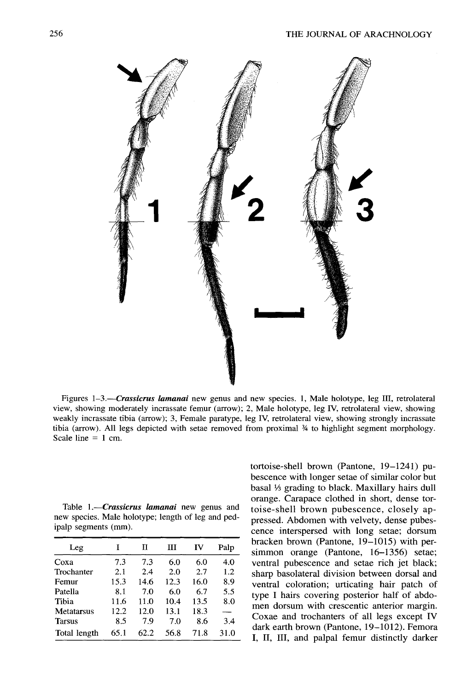

Figures 1-3.-*Crassicrus lamanai* new genus and new species. 1, Male holotype, leg III, retrolateral view, showing moderately incrassate femur (arrow); 2, Male holotype, leg IV, retrolateral view, showing weakly incrassate tibia (arrow); 3, Female paratype, leg IV, retrolateral view, showing strongly incrassate tibia (arrow). All legs depicted with setae removed from proximal  $\frac{1}{2}$  to highlight segment morphology. Scale line  $= 1$  cm.

Table 1.—*Crassicrus lamanai* new genus and new species. Male holotype; length of leg and pedipalp segments (mm).

| Leg               |      | П    | Ш    | IV   | Palp |
|-------------------|------|------|------|------|------|
| Coxa              | 7.3  | 7.3  | 6.0  | 6.0  | 4.0  |
| Trochanter        | 2.1  | 2.4  | 2.0  | 2.7  | 1.2  |
| Femur             | 15.3 | 14.6 | 12.3 | 16.0 | 8.9  |
| Patella           | 8.1  | 7.0  | 6.0  | 6.7  | 5.5  |
| Tibia             | 11.6 | 11.0 | 10.4 | 13.5 | 8.0  |
| <b>Metatarsus</b> | 12.2 | 12.0 | 13.1 | 18.3 |      |
| <b>Tarsus</b>     | 8.5  | 7.9  | 7.0  | 8.6  | 3.4  |
| Total length      | 65.1 | 62.2 | 56.8 | 71.8 | 31.0 |

tortoise-shell brown (Pantone, 19-1241) pubescence with longer setae of similar color but basal 1/3 grading to black. Maxillary hairs dull orange. Carapace clothed in short, dense tortoise-shell brown pubescence, closely appressed. Abdomen with velvety, dense pubescence interspersed with long setae; dorsum bracken brown (Pantone, 19-1015) with persimmon orange (Pantone, 16-1356) setae; ventral pubescence and setae rich jet black; sharp basolateral division between dorsal and ventral coloration; urticating hair patch of type I hairs covering posterior half of abdomen dorsum with crescentic anterior margin. Coxae and trochanters of all legs except IV dark earth brown (Pantone, 19-1012). Femora I, II, III, and palpal femur distinctly darker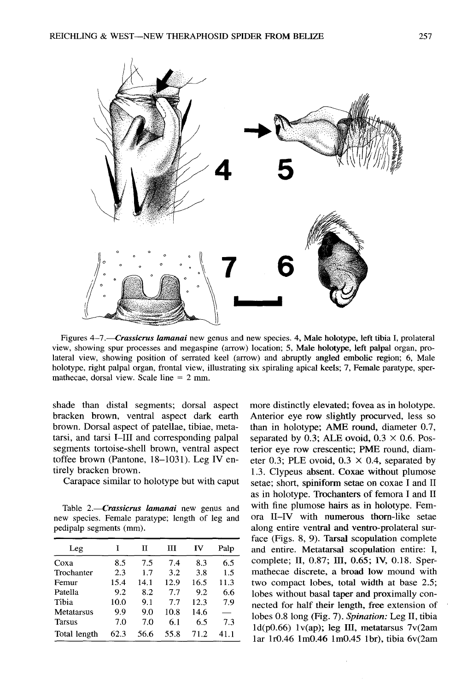

Figures *4-7.-Crassicrus lamanai* new genus and new species . 4, Male holotype, left tibia I, prolateral view, showing spur processes and megaspine (arrow) location; 5, Male holotype, left palpal organ, prolateral view, showing position of serrated keel (arrow) and abruptly angled embolic region; 6, Male holotype, right palpal organ, frontal view, illustrating six spiraling apical keels; 7, Female paratype, spermathecae, dorsal view. Scale line  $= 2$  mm.

shade than distal segments; dorsal aspect bracken brown, ventral aspect dark earth brown. Dorsal aspect of patellae, tibiae, metatarsi, and tarsi I-III and corresponding palpal segments tortoise-shell brown, ventral aspect toffee brown (Pantone, 18-1031). Leg IV entirely bracken brown.

Carapace similar to holotype but with caput

Table 2.-Crassicrus lamanai new genus and new species. Female paratype; length of leg and pedipalp segments (mm) .

| Leg           | T    | Н    | ш    | ΙV   | Palp |
|---------------|------|------|------|------|------|
| Coxa          | 8.5  | 7.5  | 7.4  | 8.3  | 6.5  |
| Trochanter    | 2.3  | 1.7  | 3.2  | 3.8  | 1.5  |
| Femur         | 15.4 | 14.1 | 12.9 | 16.5 | 11.3 |
| Patella       | 9.2  | 8.2  | 7.7  | 9.2  | 6.6  |
| Tibia         | 10.0 | 9.1  | 7.7  | 12.3 | 7.9  |
| Metatarsus    | 9.9  | 9.0  | 10.8 | 14.6 |      |
| <b>Tarsus</b> | 7.0  | 7.0  | 6.1  | 6.5  | 7.3  |
| Total length  | 62.3 | 56.6 | 55.8 | 71.2 | 411  |

more distinctly elevated; fovea as in holotype. Anterior eye row slightly procurved, less so than in holotype; AME round, diameter 0.7, separated by 0.3; ALE ovoid,  $0.3 \times 0.6$ . Posterior eye row crescentic; PME round, diameter 0.3; PLE ovoid,  $0.3 \times 0.4$ , separated by <sup>1</sup> .3 . Clypeus absent. Coxae without plumose setae; short, spiniform setae on coxae I and II as in holotype. Trochanters of femora I and II with fine plumose hairs as in holotype. Femora II-IV with numerous thom-like setae along entire ventral and ventro-prolateral surface (Figs.  $8, 9$ ). Tarsal scopulation complete and entire. Metatarsal scopulation entire: I, complete; II, 0.87; III, 0.65; IV, 0.18. Spermathecae discrete, a broad low mound with two compact lobes, total width at base 2.5; lobes without basal taper and proximally connected for half their length, free extension of lobes 0.8 long (Fig. *7) . Spination:* Leg II, tibi <sup>a</sup> 1d(pO .66) lv(ap); leg III, metatarsus 7v(2am lar 1r0.46 1m0.46 1m0.45 1br), tibia 6v(2am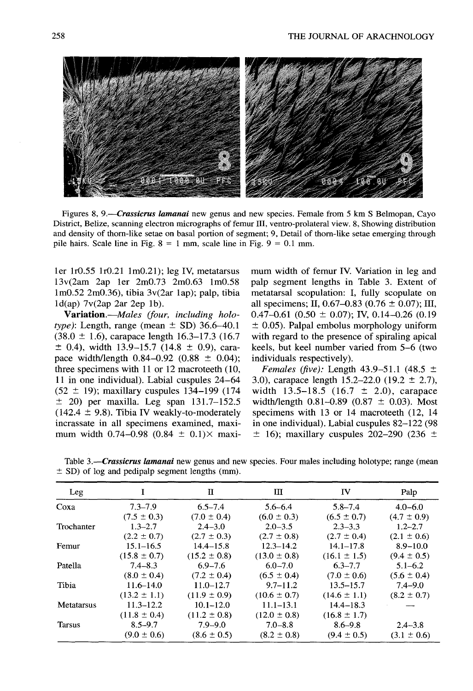

Figures *8, 9.-Crassicrus lamanai* new genus and new species . Female from 5 km S Belmopan, Cayo District, Belize, scanning electron micrographs of femur III, ventro-prolateral view . 8, Showing distribution and density of thorn-like setae on basal portion of segment; 9, Detail of thorn-like setae emerging through pile hairs. Scale line in Fig.  $8 = 1$  mm, scale line in Fig.  $9 = 0.1$  mm.

 $ld(ap)$  7 $v(2ap$  2ar 2ep 1b).

*type)*: Length, range (mean  $\pm$  SD) 36.6–40.1  $\pm$  0.05). Palpal embolus morphology uniform (38.0  $\pm$  1.6), carapace length 16.3–17.3 (16.7 with regard to the presence of spiraling apical  $(38.0 \pm 1.6)$ , carapace length 16.3–17.3 (16.7)  $\pm$  0.4), width 13.9–15.7 (14.8  $\pm$  0.9), cara- keels, but keel number varied from 5–6 (two pace width/length  $0.84-0.92$  (0.88  $\pm$  0.04); individuals respectively). three specimens with 11 or 12 macroteeth (10, *Females (five)*: Length 43.9–51.1 (48.5  $\pm$ 11 in one individual). Labial cuspules  $24-64$  3.0), carapace length 15.2-22.0 (19.2  $\pm$  2.7),  $(52 \pm 19)$ ; maxillary cuspules 134-199 (174 width 13.5-18.5 (16.7  $\pm$  2.0), carapace  $\pm$  20) per maxilla. Leg span 131.7–152.5 width/length 0.81–0.89 (0.87  $\pm$  0.03). Most  $(142.4 \pm 9.8)$ . Tibia IV weakly-to-moderately specimens with 13 or 14 macroteeth (12, 14) incrassate in all specimens examined, maxi- in one individual). Labial cuspules 82–122 (98 mum width 0.74–0.98 (0.84  $\pm$  0.1) $\times$  maxi-  $\pm$  16); maxillary cuspules 202–290 (236  $\pm$ 

ler lr0.55 1r0.21 1m0.21) ; leg IV, metatarsus mum width of femur IV. Variation in leg and  $13v(2am 2ap 1er 2m0.73 2m0.63 1m0.58$  palp segment lengths in Table 3. Extent of lm0.52 2m0.36), tibia 3v(2ar lap); palp, tibia metatarsal scopulation: I, fully scopulate on (ap)  $7v(2ap \ 2ar \ 2ep \ 1b)$ .<br>**Variation.**—*Males (four, including holo-* 0.47-0.61 (0.50 ± 0.07); IV, 0.14-0.26 (0.19

Table 3.—Crassicrus *lamanai* new genus and new species. Four males including holotype; range (mean  $\pm$  SD) of log and pedipalp segment lengths (mm).

| Leg           |                  | П                | ш                | IV               | Palp            |
|---------------|------------------|------------------|------------------|------------------|-----------------|
| Coxa          | $7.3 - 7.9$      | $6.5 - 7.4$      | $5.6 - 6.4$      | $5.8 - 7.4$      | $4.0 - 6.0$     |
|               | $(7.5 \pm 0.3)$  | $(7.0 \pm 0.4)$  | $(6.0 \pm 0.3)$  | $(6.5 \pm 0.7)$  | $(4.7 \pm 0.9)$ |
| Trochanter    | $1.3 - 2.7$      | $2.4 - 3.0$      | $2.0 - 3.5$      | $2.3 - 3.3$      | $1.2 - 2.7$     |
|               | $(2.2 \pm 0.7)$  | $(2.7 \pm 0.3)$  | $(2.7 \pm 0.8)$  | $(2.7 \pm 0.4)$  | $(2.1 \pm 0.6)$ |
| Femur         | $15.1 - 16.5$    | $14.4 - 15.8$    | $12.3 - 14.2$    | $14.1 - 17.8$    | $8.9 - 10.0$    |
|               | $(15.8 \pm 0.7)$ | $(15.2 \pm 0.8)$ | $(13.0 \pm 0.8)$ | $(16.1 \pm 1.5)$ | $(9.4 \pm 0.5)$ |
| Patella       | $7.4 - 8.3$      | $6.9 - 7.6$      | $6.0 - 7.0$      | $6.3 - 7.7$      | $5.1 - 6.2$     |
|               | $(8.0 \pm 0.4)$  | $(7.2 \pm 0.4)$  | $(6.5 \pm 0.4)$  | $(7.0 \pm 0.6)$  | $(5.6 \pm 0.4)$ |
| Tibia         | $11.6 - 14.0$    | $11.0 - 12.7$    | $9.7 - 11.2$     | $13.5 - 15.7$    | $7.4 - 9.0$     |
|               | $(13.2 \pm 1.1)$ | $(11.9 \pm 0.9)$ | $(10.6 \pm 0.7)$ | $(14.6 \pm 1.1)$ | $(8.2 \pm 0.7)$ |
| Metatarsus    | $11.3 - 12.2$    | $10.1 - 12.0$    | $11.1 - 13.1$    | $14.4 - 18.3$    |                 |
|               | $(11.8 \pm 0.4)$ | $(11.2 \pm 0.8)$ | $(12.0 \pm 0.8)$ | $(16.8 \pm 1.7)$ |                 |
| <b>Tarsus</b> | $8.5 - 9.7$      | $7.9 - 9.0$      | $7.0 - 8.8$      | $8.6 - 9.8$      | $2.4 - 3.8$     |
|               | $(9.0 \pm 0.6)$  | $(8.6 \pm 0.5)$  | $(8.2 \pm 0.8)$  | $(9.4 \pm 0.5)$  | $(3.1 \pm 0.6)$ |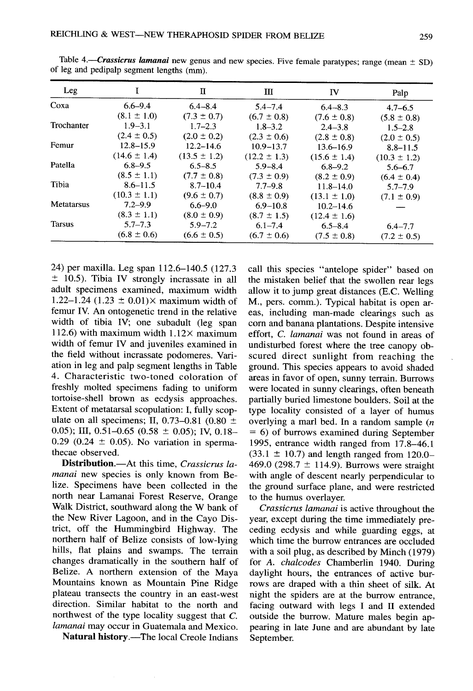|               | REICHLING & WEST-NEW THERAPHOSID SPIDER FROM BELIZE                                                                                              |                  |                                 |                  |                                                                                                                                                       |
|---------------|--------------------------------------------------------------------------------------------------------------------------------------------------|------------------|---------------------------------|------------------|-------------------------------------------------------------------------------------------------------------------------------------------------------|
|               | Table 4.—Crassicrus lamanai new genus and new species. Five female paratypes; range (mean $\pm$ SD)<br>of leg and pedipalp segment lengths (mm). |                  |                                 |                  |                                                                                                                                                       |
|               |                                                                                                                                                  |                  |                                 |                  |                                                                                                                                                       |
| Leg           | I                                                                                                                                                | $\mathbf{I}$     | Ш                               | <b>IV</b>        | Palp                                                                                                                                                  |
| Coxa          | $6.6 - 9.4$                                                                                                                                      | $6.4 - 8.4$      | $5.4 - 7.4$                     | $6.4 - 8.3$      |                                                                                                                                                       |
|               | $(8.1 \pm 1.0)$                                                                                                                                  | $(7.3 \pm 0.7)$  | $(6.7 \pm 0.8)$                 | $(7.6 \pm 0.8)$  | $4.7 - 6.5$<br>$(5.8 \pm 0.8)$                                                                                                                        |
|               | $1.9 - 3.1$                                                                                                                                      | $1.7 - 2.3$      | $1.8 - 3.2$                     | $2.4 - 3.8$      |                                                                                                                                                       |
| Trochanter    | $(2.4 \pm 0.5)$                                                                                                                                  | $(2.0 \pm 0.2)$  | $(2.3 \pm 0.6)$                 | $(2.8 \pm 0.8)$  |                                                                                                                                                       |
|               | $12.8 - 15.9$                                                                                                                                    | $12.2 - 14.6$    | $10.9 - 13.7$                   | $13.6 - 16.9$    |                                                                                                                                                       |
| Femur         | $(14.6 \pm 1.4)$                                                                                                                                 | $(13.5 \pm 1.2)$ | $(12.2 \pm 1.3)$                | $(15.6 \pm 1.4)$ |                                                                                                                                                       |
| Patella       | $6.8 - 9.5$                                                                                                                                      | $6.5 - 8.5$      | $5.9 - 8.4$                     | $6.8 - 9.2$      |                                                                                                                                                       |
|               | $(8.5 \pm 1.1)$                                                                                                                                  | $(7.7 \pm 0.8)$  | $(7.3 \pm 0.9)$                 | $(8.2 \pm 0.9)$  |                                                                                                                                                       |
| Tibia         | $8.6 - 11.5$                                                                                                                                     | $8.7 - 10.4$     | $7.7 - 9.8$                     | $11.8 - 14.0$    |                                                                                                                                                       |
|               | $(10.3 \pm 1.1)$                                                                                                                                 | $(9.6 \pm 0.7)$  |                                 | $(13.1 \pm 1.0)$ |                                                                                                                                                       |
| Metatarsus    | $7.2 - 9.9$                                                                                                                                      | $6.6 - 9.0$      | $(8.8 \pm 0.9)$<br>$6.9 - 10.8$ | $10.2 - 14.6$    |                                                                                                                                                       |
|               | $(8.3 \pm 1.1)$                                                                                                                                  | $(8.0 \pm 0.9)$  | $(8.7 \pm 1.5)$                 | $(12.4 \pm 1.6)$ |                                                                                                                                                       |
| <b>Tarsus</b> | $5.7 - 7.3$                                                                                                                                      | $5.9 - 7.2$      | $6.1 - 7.4$                     | $6.5 - 8.4$      | $1.5 - 2.8$<br>$(2.0 \pm 0.5)$<br>$8.8 - 11.5$<br>$(10.3 \pm 1.2)$<br>$5.6 - 6.7$<br>$(6.4 \pm 0.4)$<br>$5.7 - 7.9$<br>$(7.1 \pm 0.9)$<br>$6.4 - 7.7$ |

Table *<sup>4</sup> .–Crassicrus lamanai* new genus and new species . Five female paratypes; range (mean ± SD) of leg and pedipalp segment lengths (mm).

24) per maxilla. Leg span 112.6–140.5 (127.3)  $\pm$  10.5). Tibia IV strongly incrassate in all adult specimens examined, maximum width 1.22–1.24 (1.23  $\pm$  0.01) $\times$  maximum width of femur IV. An ontogenetic trend in the relative width of tibia IV; one subadult (leg span 112.6) with maximum width  $1.12\times$  maximum width of femur IV and juveniles examined in the field without incrassate podomeres. Variation in leg and palp segment lengths in Table 4. Characteristic two-toned coloration of freshly molted specimens fading to uniform tortoise-shell brown as ecdysis approaches. Extent of metatarsal scopulation: I, fully scopulate on all specimens; II, 0.73–0.81 (0.80  $\pm$ 0.05); III, 0.51–0.65 (0.58  $\pm$  0.05); IV, 0.18– 0.29 (0.24  $\pm$  0.05). No variation in spermathecae observed.

**Distribution.**—At this time, *Crassicrus lamanai* new species is only known from Belize. Specimens have been collected in the north near Lamanai Forest Reserve, Orange Walk District, southward along the W bank of the New River Lagoon, and in the Cayo District, off the Hummingbird Highway. The northern half of Belize consists of low-lying hills, flat plains and swamps. The terrain changes dramatically in the southern half of Belize. A northern extension of the Maya Mountains known as Mountain Pine Ridge plateau transects the country in an east-west direction. Similar habitat to the north and northwest of the type locality suggest that C. *lamanai* may occur in Guatemala and Mexico.

**Natural history .**—The local Creole Indians

call this species "antelope spider" based on the mistaken belief that the swollen rear legs allow it to jump great distances (E.C. Welling M., pers. comm.). Typical habitat is open areas, including man-made clearings such as corn and banana plantations . Despite intensive effort, C. *lamanai* was not found in areas of undisturbed forest where the tree canopy obscured direct sunlight from reaching the ground. This species appears to avoid shaded areas in favor of open, sunny terrain. Burrows were located in sunny clearings, often beneath partially buried limestone boulders. Soil at the type locality consisted of a layer of humus overlying a marl bed. In a random sample *(n*  $= 6$ ) of burrows examined during September 1995, entrance width ranged from 17 .8–46. <sup>1</sup>  $(33.1 \pm 10.7)$  and length ranged from 120.0– 469.0 (298.7  $\pm$  114.9). Burrows were straight with angle of descent nearly perpendicular to the ground surface plane, and were restricted to the humus overlayer.

*Crassicrus lamanai is* active throughout the year, except during the time immediately preceding ecdysis and while guarding eggs, at which time the burrow entrances are occluded with a soil plug, as described by Minch (1979) for A. *chalcodes* Chamberlin 1940. During daylight hours, the entrances of active burrows are draped with a thin sheet of silk . At night the spiders are at the burrow entrance , facing outward with legs I and II extended outside the burrow. Mature males begin appearing in late June and are abundant by late September.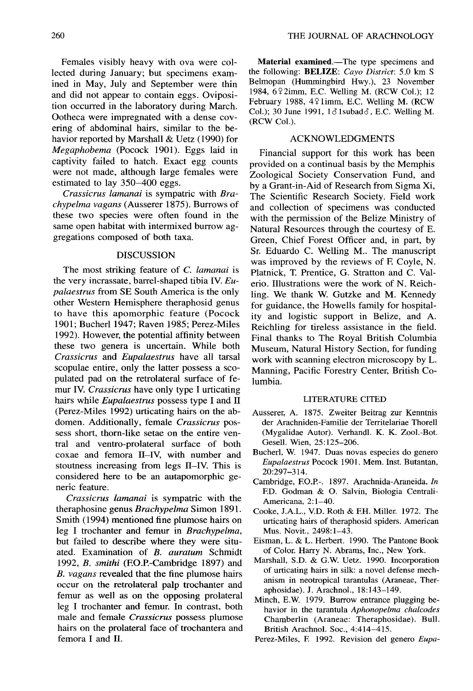Females visibly heavy with ova were collected during January; but specimens examined in May, July and September were thin and did not appear to contain eggs. Oviposition occurred in the laboratory during March. Ootheca were impregnated with a dense covering of abdominal hairs, similar to the behavior reported by Marshall  $&$  Uetz (1990) for *Megaphobema* (Pocock 1901). Eggs laid in captivity failed to hatch. Exact egg counts were not made, although large females were estimated to lay *350–400* eggs.

*Crassicrus lamanai is* sympatric with *Bra*chypelma vagans (Ausserer 1875). Burrows of these two species were often found in the same open habitat with intermixed burrow aggregations composed of both taxa.

## DISCUSSION

The most striking feature of C. *lamanai i <sup>s</sup>* the very incrassate, barrel-shaped tibia IV. *Eupalaestrus* from SE South America is the only other Western Hemisphere theraphosid genus to have this apomorphic feature (Pocock 1901; Bucherl 1947; Raven 1985; Perez-Miles 1992). However, the potential affinity between these two genera is uncertain. While both *Crassicrus* and *Eupalaestrus* have all tarsal scopulae entire, only the latter possess a scopulated pad on the retrolateral surface of femur IV. *Crassicrus* have only type I urticating hairs while *Eupalaestrus* possess type I and II (Perez-Miles 1992) urticating hairs on the abdomen. Additionally, female *Crassicrus pos*sess short, thorn-like setae on the entire ventral and ventro-prolateral surface of both coxae and femora II–IV, with number and stoutness increasing from legs II–IV. This is considered here to be an autapomorphic generic feature.

*Crassicrus lamanai is* sympatric with the theraphosine genus *Brachypelma* Simon 1891 . Smith (1994) mentioned fine plumose hairs on leg I trochanter and femur in *Brachypelma,* but failed to describe where they were situated. Examination of *B. auratum* Schmidt 1992, *B. smithi* (F.O.P.-Cambridge *1897)* and *B. vagans* revealed that the fine plumose hairs occur on the retrolateral palp trochanter and femur as well as on the opposing prolateral leg I trochanter and femur. In contrast, both male and female *Crassicrus* possess plumose hairs on the prolateral face of trochantera and femora I and II.

**Material examined.—The** type specimens and the following: **BELIZE**: *Cayo District*: 5.0 km S Belmopan (Hummingbird Hwy.), 23 November 1984, 6 9 2imm, E.C. Welling M. (RCW Col.); 12 February 1988,  $4\frac{1}{2}$  limm, E.C. Welling M. (RCW) Col.); 30 June 1991,  $1\delta$  lsubad $\delta$ , E.C. Welling M. (RCW Col.).

## ACKNOWLEDGMENTS

Financial support for this work has been provided on a continual basis by the Memphis Zoological Society Conservation Fund, and by a Grant-in-Aid of Research from Sigma Xi, The Scientific Research Society. Field work and collection of specimens was conducted with the permission of the Belize Ministry of Natural Resources through the courtesy of E. Green, Chief Forest Officer and, in part, by Sr. Eduardo C. Welling M., The manuscript was improved by the reviews of F. Coyle, N. Platnick, T. Prentice, G. Stratton and C. Valerio. Illustrations were the work of N. Reichling. We thank W. Gutzke and M. Kennedy for guidance, the Howells family for hospitality and logistic support in Belize, and A. Reichling for tireless assistance in the field. Final thanks to The Royal British Columbia Museum, Natural History Section, for funding work with scanning electron microscopy by L. Manning, Pacific Forestry Center, British Columbia.

## LITERATURE CITED

- Ausserer, A. 1875. Zweiter Beitrag zur Kenntnis der Arachniden-Familie der Territelariae Thorell (Mygalidae Autor). Verhandl. K. K. Zool.-Bot. Gesell. Wien, 25:125-206.
- Bucherl, W. 1947. Duas novas especies do genero Eupalaestrus Pocock 1901. Mem. Inst. Butantan, 20 :297-314.
- Cambridge, F.O.P.-. 1897. Arachnida-Araneida. *In* E.D. Godman & O. Salvin, Biologia Centrali-Americana, 2:1-40.
- Cooke, J.A.L., V.D. Roth & F.H. Miller. 1972. The urticating hairs of theraphosid spiders . American Mus. Novit., 2498:1-43.
- Eisman, L. & L. Herbert. 1990. The Pantone Book of Color. Harry N. Abrams, Inc., New York.
- Marshall, S.D. & G.W. Uetz. 1990. Incorporation of urticating hairs in silk: a novel defense mechanism in neotropical tarantulas (Araneae, Theraphosidae). J. Arachnol., 18:143-149.
- Minch, E.W. 1979. Burrow entrance plugging behavior in the tarantula *Aphonopelma ckalcodes* Chamberlin (Araneae: Theraphosidae). Bull. British Arachnol. Soc., 4:414-415.

Perez-Miles, F. 1992. Revision del genero *Eupa-*